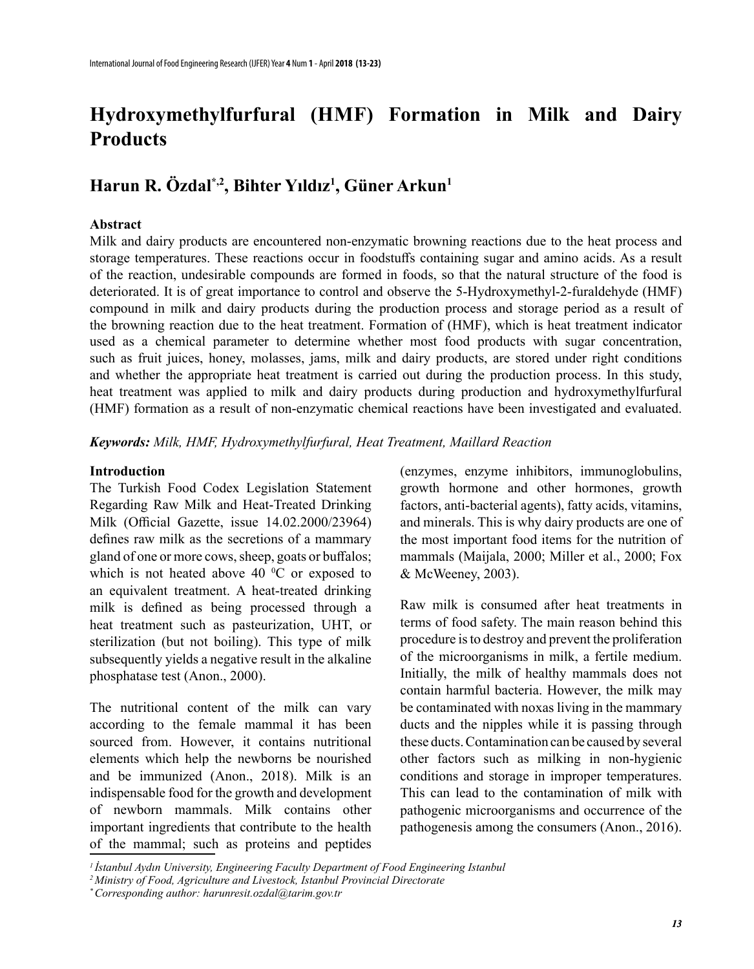# **Hydroxymethylfurfural (Hmf) Formation in Milk and Dairy Products**

# **Harun R. Özdal\*,2, Bihter Yıldız<sup>1</sup> , Güner Arkun1**

#### **Abstract**

Milk and dairy products are encountered non-enzymatic browning reactions due to the heat process and storage temperatures. These reactions occur in foodstuffs containing sugar and amino acids. As a result of the reaction, undesirable compounds are formed in foods, so that the natural structure of the food is deteriorated. It is of great importance to control and observe the 5-Hydroxymethyl-2-furaldehyde (HMF) compound in milk and dairy products during the production process and storage period as a result of the browning reaction due to the heat treatment. Formation of (HMF), which is heat treatment indicator used as a chemical parameter to determine whether most food products with sugar concentration, such as fruit juices, honey, molasses, jams, milk and dairy products, are stored under right conditions and whether the appropriate heat treatment is carried out during the production process. In this study, heat treatment was applied to milk and dairy products during production and hydroxymethylfurfural (HMF) formation as a result of non-enzymatic chemical reactions have been investigated and evaluated.

*Keywords: Milk, HMF, Hydroxymethylfurfural, Heat Treatment, Maillard Reaction*

#### **Introduction**

The Turkish Food Codex Legislation Statement Regarding Raw Milk and Heat-Treated Drinking Milk (Official Gazette, issue 14.02.2000/23964) defines raw milk as the secretions of a mammary gland of one or more cows, sheep, goats or buffalos; which is not heated above 40  $^{\circ}$ C or exposed to an equivalent treatment. A heat-treated drinking milk is defined as being processed through a heat treatment such as pasteurization, UHT, or sterilization (but not boiling). This type of milk subsequently yields a negative result in the alkaline phosphatase test (Anon., 2000).

The nutritional content of the milk can vary according to the female mammal it has been sourced from. However, it contains nutritional elements which help the newborns be nourished and be immunized (Anon., 2018). Milk is an indispensable food for the growth and development of newborn mammals. Milk contains other important ingredients that contribute to the health of the mammal; such as proteins and peptides

(enzymes, enzyme inhibitors, immunoglobulins, growth hormone and other hormones, growth factors, anti-bacterial agents), fatty acids, vitamins, and minerals. This is why dairy products are one of the most important food items for the nutrition of mammals (Maijala, 2000; Miller et al., 2000; Fox & McWeeney, 2003).

Raw milk is consumed after heat treatments in terms of food safety. The main reason behind this procedure is to destroy and prevent the proliferation of the microorganisms in milk, a fertile medium. Initially, the milk of healthy mammals does not contain harmful bacteria. However, the milk may be contaminated with noxas living in the mammary ducts and the nipples while it is passing through these ducts. Contamination can be caused by several other factors such as milking in non-hygienic conditions and storage in improper temperatures. This can lead to the contamination of milk with pathogenic microorganisms and occurrence of the pathogenesis among the consumers (Anon., 2016).

*<sup>1</sup>İstanbul Aydın University, Engineering Faculty Department of Food Engineering Istanbul*

*<sup>2</sup> Ministry of Food, Agriculture and Livestock, Istanbul Provincial Directorate*

*<sup>\*</sup> Corresponding author: harunresit.ozdal@tarim.gov.tr*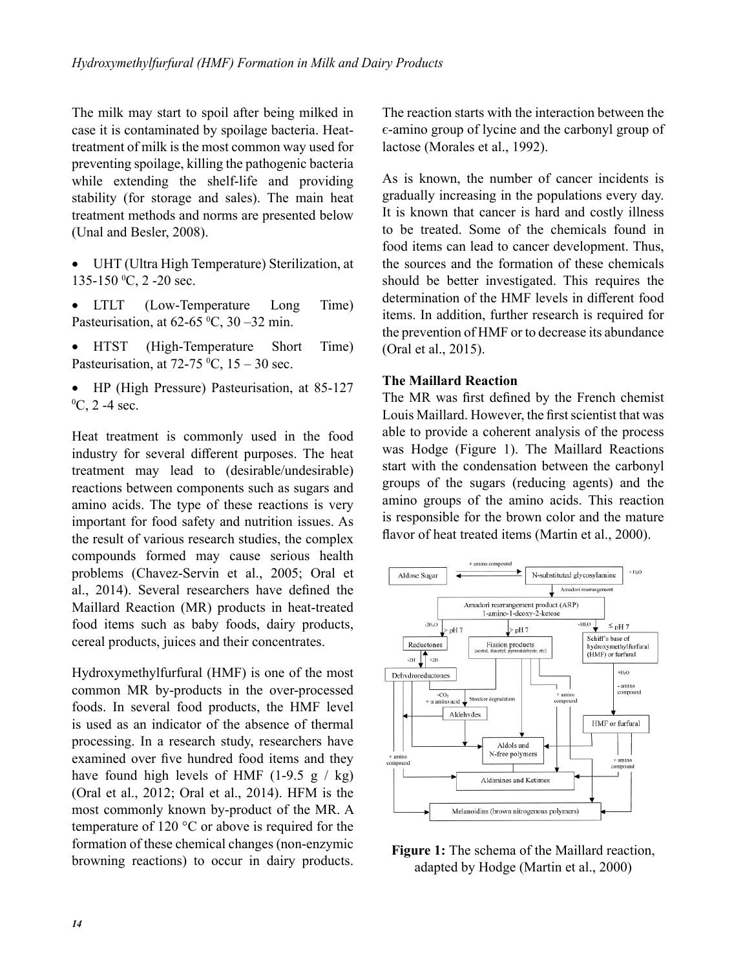The milk may start to spoil after being milked in case it is contaminated by spoilage bacteria. Heattreatment of milk is the most common way used for preventing spoilage, killing the pathogenic bacteria while extending the shelf-life and providing stability (for storage and sales). The main heat treatment methods and norms are presented below (Unal and Besler, 2008).

- • UHT (Ultra High Temperature) Sterilization, at  $135-150 \degree C$ , 2 -20 sec.
- LTLT (Low-Temperature Long Time) Pasteurisation, at  $62-65\text{ °C}, 30-32\text{ min}.$
- HTST (High-Temperature Short Time) Pasteurisation, at 72-75  $\text{°C}$ , 15 – 30 sec.
- HP (High Pressure) Pasteurisation, at 85-127  ${}^{0}C$ , 2 -4 sec.

Heat treatment is commonly used in the food industry for several different purposes. The heat treatment may lead to (desirable/undesirable) reactions between components such as sugars and amino acids. The type of these reactions is very important for food safety and nutrition issues. As the result of various research studies, the complex compounds formed may cause serious health problems (Chavez-Servin et al., 2005; Oral et al., 2014). Several researchers have defined the Maillard Reaction (MR) products in heat-treated food items such as baby foods, dairy products, cereal products, juices and their concentrates.

Hydroxymethylfurfural (HMF) is one of the most common MR by-products in the over-processed foods. In several food products, the HMF level is used as an indicator of the absence of thermal processing. In a research study, researchers have examined over five hundred food items and they have found high levels of HMF (1-9.5 g  $/$  kg) (Oral et al., 2012; Oral et al., 2014). HFM is the most commonly known by-product of the MR. A temperature of 120 °C or above is required for the formation of these chemical changes (non-enzymic browning reactions) to occur in dairy products.

The reaction starts with the interaction between the є-amino group of lycine and the carbonyl group of lactose (Morales et al., 1992).

As is known, the number of cancer incidents is gradually increasing in the populations every day. It is known that cancer is hard and costly illness to be treated. Some of the chemicals found in food items can lead to cancer development. Thus, the sources and the formation of these chemicals should be better investigated. This requires the determination of the HMF levels in different food items. In addition, further research is required for the prevention of HMF or to decrease its abundance (Oral et al., 2015).

#### **The Maillard Reaction**

The MR was first defined by the French chemist Louis Maillard. However, the first scientist that was able to provide a coherent analysis of the process was Hodge (Figure 1). The Maillard Reactions start with the condensation between the carbonyl groups of the sugars (reducing agents) and the amino groups of the amino acids. This reaction is responsible for the brown color and the mature flavor of heat treated items (Martin et al., 2000).



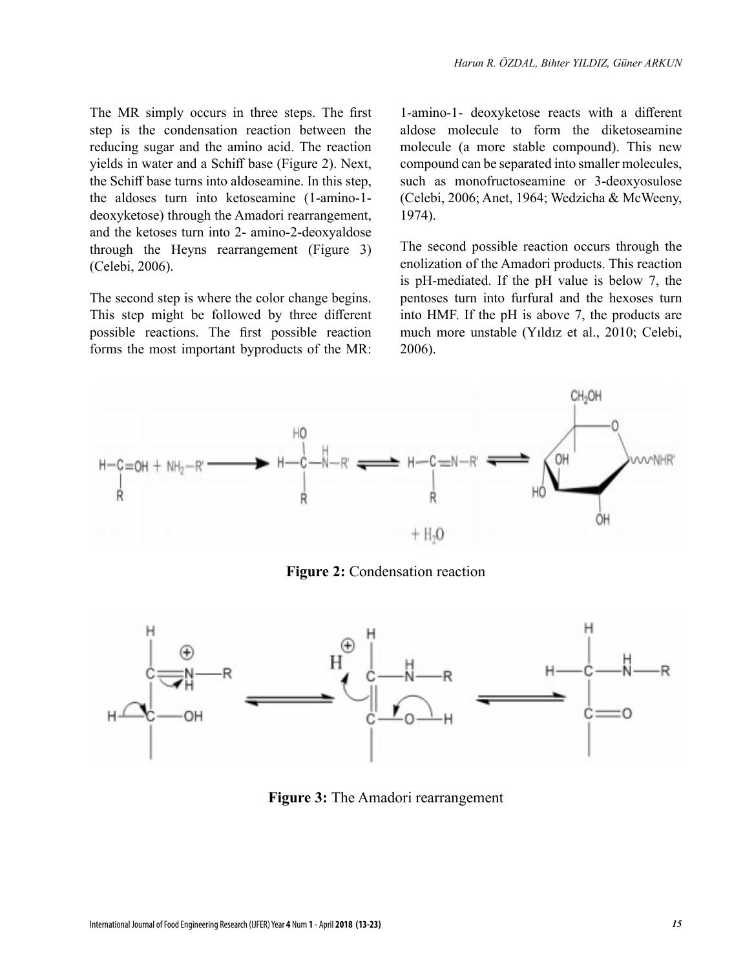The MR simply occurs in three steps. The first step is the condensation reaction between the reducing sugar and the amino acid. The reaction yields in water and a Schiff base (Figure 2). Next, the Schiff base turns into aldoseamine. In this step, the aldoses turn into ketoseamine (1-amino-1 deoxyketose) through the Amadori rearrangement, and the ketoses turn into 2- amino-2-deoxyaldose through the Heyns rearrangement (Figure 3) (Celebi, 2006).

The second step is where the color change begins. This step might be followed by three different possible reactions. The first possible reaction forms the most important byproducts of the MR: 1-amino-1- deoxyketose reacts with a different aldose molecule to form the diketoseamine molecule (a more stable compound). This new compound can be separated into smaller molecules, such as monofructoseamine or 3-deoxyosulose (Celebi, 2006; Anet, 1964; Wedzicha & McWeeny, 1974).

The second possible reaction occurs through the enolization of the Amadori products. This reaction is pH-mediated. If the pH value is below 7, the pentoses turn into furfural and the hexoses turn into HMF. If the pH is above 7, the products are much more unstable (Yıldız et al., 2010; Celebi, 2006).



**Figure 2:** Condensation reaction



**Figure 3:** The Amadori rearrangement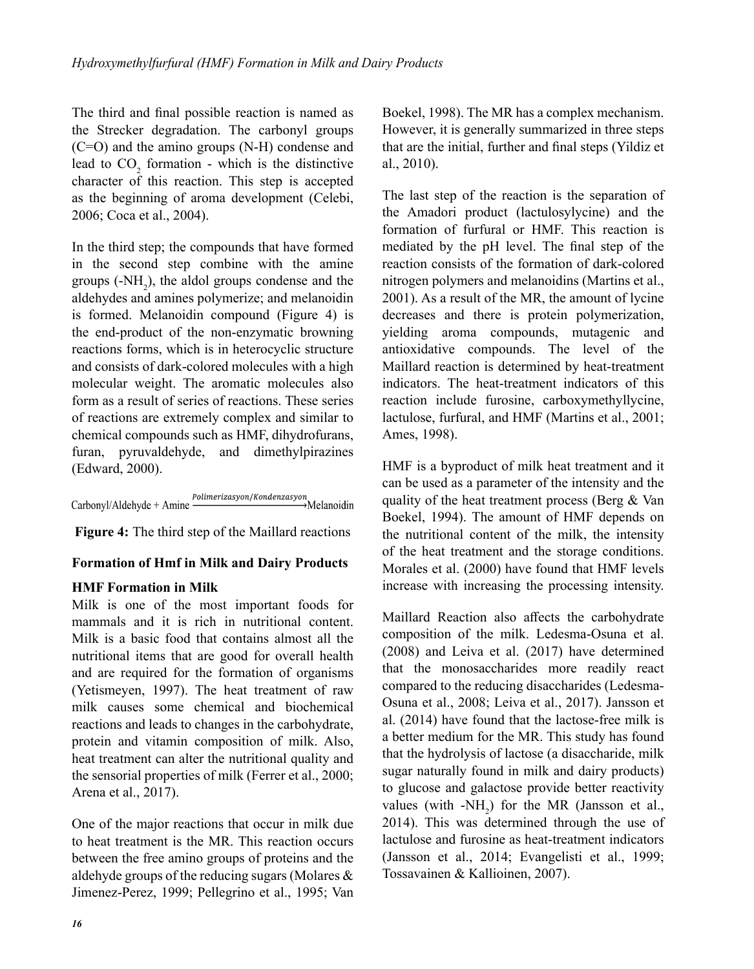The third and final possible reaction is named as the Strecker degradation. The carbonyl groups (C=O) and the amino groups (N-H) condense and lead to  $CO_2$  formation - which is the distinctive character of this reaction. This step is accepted as the beginning of aroma development (Celebi, 2006; Coca et al., 2004).

In the third step; the compounds that have formed in the second step combine with the amine groups  $(-NH_2)$ , the aldol groups condense and the aldehydes and amines polymerize; and melanoidin is formed. Melanoidin compound (Figure 4) is the end-product of the non-enzymatic browning reactions forms, which is in heterocyclic structure and consists of dark-colored molecules with a high molecular weight. The aromatic molecules also form as a result of series of reactions. These series of reactions are extremely complex and similar to chemical compounds such as HMF, dihydrofurans, furan, pyruvaldehyde, and dimethylpirazines (Edward, 2000).

Polimerizasyon/Kondenzasyon Carbonyl/Aldehyde + Amine →Melanoidin

**Figure 4:** The third step of the Maillard reactions

# **formation of Hmf in milk and Dairy Products**

# **Hmf formation in milk**

Milk is one of the most important foods for mammals and it is rich in nutritional content. Milk is a basic food that contains almost all the nutritional items that are good for overall health and are required for the formation of organisms (Yetismeyen, 1997). The heat treatment of raw milk causes some chemical and biochemical reactions and leads to changes in the carbohydrate, protein and vitamin composition of milk. Also, heat treatment can alter the nutritional quality and the sensorial properties of milk (Ferrer et al., 2000; Arena et al., 2017).

One of the major reactions that occur in milk due to heat treatment is the MR. This reaction occurs between the free amino groups of proteins and the aldehyde groups of the reducing sugars (Molares & Jimenez-Perez, 1999; Pellegrino et al., 1995; Van Boekel, 1998). The MR has a complex mechanism. However, it is generally summarized in three steps that are the initial, further and final steps (Yildiz et al., 2010).

The last step of the reaction is the separation of the Amadori product (lactulosylycine) and the formation of furfural or HMF. This reaction is mediated by the pH level. The final step of the reaction consists of the formation of dark-colored nitrogen polymers and melanoidins (Martins et al., 2001). As a result of the MR, the amount of lycine decreases and there is protein polymerization, yielding aroma compounds, mutagenic and antioxidative compounds. The level of the Maillard reaction is determined by heat-treatment indicators. The heat-treatment indicators of this reaction include furosine, carboxymethyllycine, lactulose, furfural, and HMF (Martins et al., 2001; Ames, 1998).

HMF is a byproduct of milk heat treatment and it can be used as a parameter of the intensity and the quality of the heat treatment process (Berg & Van Boekel, 1994). The amount of HMF depends on the nutritional content of the milk, the intensity of the heat treatment and the storage conditions. Morales et al. (2000) have found that HMF levels increase with increasing the processing intensity.

Maillard Reaction also affects the carbohydrate composition of the milk. Ledesma-Osuna et al. (2008) and Leiva et al. (2017) have determined that the monosaccharides more readily react compared to the reducing disaccharides (Ledesma-Osuna et al., 2008; Leiva et al., 2017). Jansson et al. (2014) have found that the lactose-free milk is a better medium for the MR. This study has found that the hydrolysis of lactose (a disaccharide, milk sugar naturally found in milk and dairy products) to glucose and galactose provide better reactivity values (with  $-NH_2$ ) for the MR (Jansson et al., 2014). This was determined through the use of lactulose and furosine as heat-treatment indicators (Jansson et al., 2014; Evangelisti et al., 1999; Tossavainen & Kallioinen, 2007).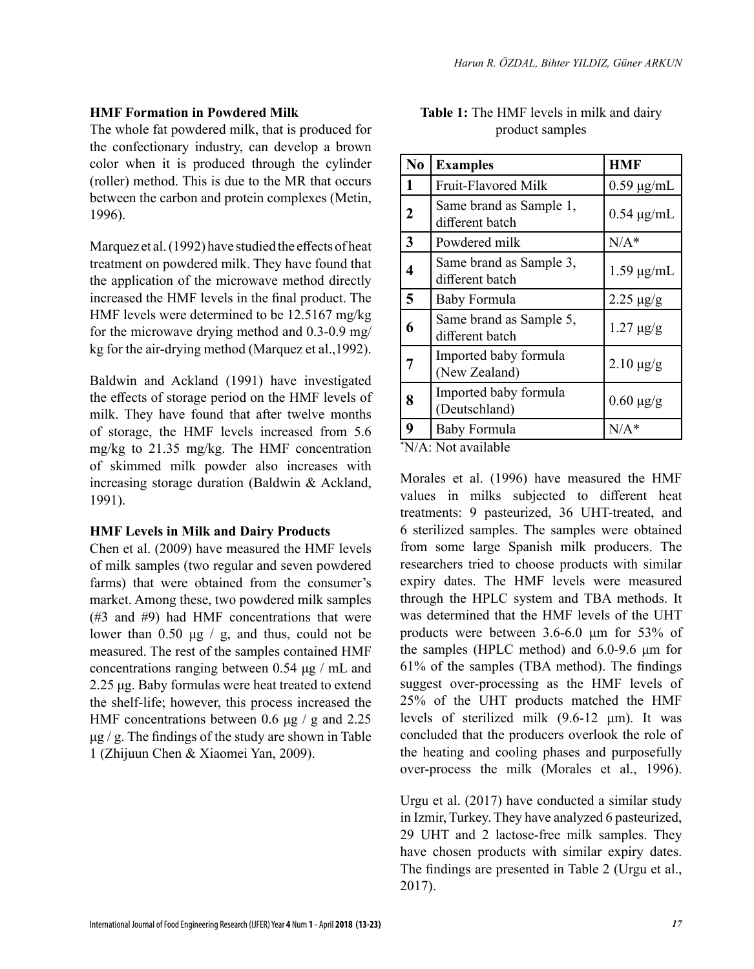#### **HMF Formation in Powdered Milk**

The whole fat powdered milk, that is produced for the confectionary industry, can develop a brown color when it is produced through the cylinder (roller) method. This is due to the MR that occurs between the carbon and protein complexes (Metin, 1996).

Marquez et al. (1992) have studied the effects of heat treatment on powdered milk. They have found that the application of the microwave method directly increased the HMF levels in the final product. The HMF levels were determined to be 12.5167 mg/kg for the microwave drying method and 0.3-0.9 mg/ kg for the air-drying method (Marquez et al.,1992).

Baldwin and Ackland (1991) have investigated the effects of storage period on the HMF levels of milk. They have found that after twelve months of storage, the HMF levels increased from 5.6 mg/kg to 21.35 mg/kg. The HMF concentration of skimmed milk powder also increases with increasing storage duration (Baldwin & Ackland, 1991).

#### **HMF Levels in Milk and Dairy Products**

Chen et al. (2009) have measured the HMF levels of milk samples (two regular and seven powdered farms) that were obtained from the consumer's market. Among these, two powdered milk samples (#3 and #9) had HMF concentrations that were lower than  $0.50 \mu g / g$ , and thus, could not be measured. The rest of the samples contained HMF concentrations ranging between 0.54 μg / mL and 2.25 μg. Baby formulas were heat treated to extend the shelf-life; however, this process increased the HMF concentrations between 0.6 μg / g and 2.25  $\mu$ g. The findings of the study are shown in Table 1 (Zhijuun Chen & Xiaomei Yan, 2009).

| N <sub>0</sub>          | <b>Examples</b>                            | <b>HMF</b>       |
|-------------------------|--------------------------------------------|------------------|
| 1                       | Fruit-Flavored Milk                        | $0.59 \mu g/mL$  |
| 2                       | Same brand as Sample 1,<br>different batch | $0.54 \mu g/mL$  |
| $\overline{\mathbf{3}}$ | Powdered milk                              | $N/A^*$          |
| 4                       | Same brand as Sample 3,<br>different batch | $1.59 \mu g/mL$  |
| 5                       | Baby Formula                               | $2.25 \mu g/g$   |
| 6                       | Same brand as Sample 5,<br>different batch | $1.27 \,\mu g/g$ |
|                         | Imported baby formula<br>(New Zealand)     | $2.10 \ \mu g/g$ |
| 8                       | Imported baby formula<br>(Deutschland)     | $0.60 \ \mu g/g$ |
| 9                       | Baby Formula                               | $N/A^*$          |

**Table 1:** The HMF levels in milk and dairy product samples

\* N/A: Not available

Morales et al. (1996) have measured the HMF values in milks subjected to different heat treatments: 9 pasteurized, 36 UHT-treated, and 6 sterilized samples. The samples were obtained from some large Spanish milk producers. The researchers tried to choose products with similar expiry dates. The HMF levels were measured through the HPLC system and TBA methods. It was determined that the HMF levels of the UHT products were between 3.6-6.0 μm for 53% of the samples (HPLC method) and 6.0-9.6 μm for 61% of the samples (TBA method). The findings suggest over-processing as the HMF levels of 25% of the UHT products matched the HMF levels of sterilized milk (9.6-12 μm). It was concluded that the producers overlook the role of the heating and cooling phases and purposefully over-process the milk (Morales et al., 1996).

Urgu et al. (2017) have conducted a similar study in Izmir, Turkey. They have analyzed 6 pasteurized, 29 UHT and 2 lactose-free milk samples. They have chosen products with similar expiry dates. The findings are presented in Table 2 (Urgu et al., 2017).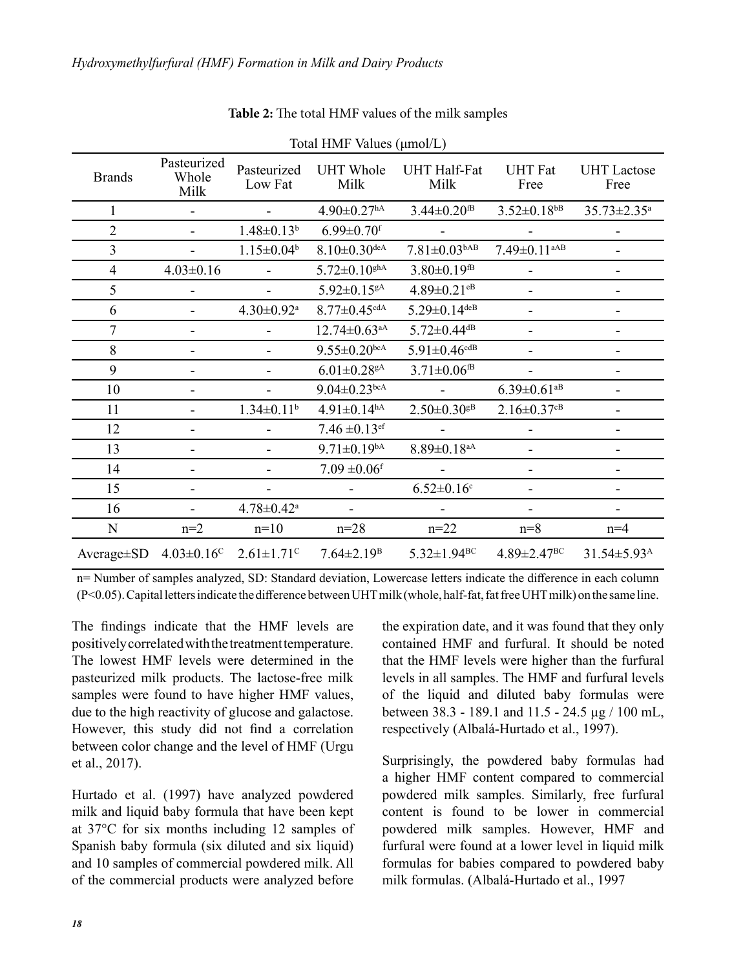| Total HMF Values (µmol/L) |                              |                              |                                |                                |                                |                            |  |  |
|---------------------------|------------------------------|------------------------------|--------------------------------|--------------------------------|--------------------------------|----------------------------|--|--|
| <b>Brands</b>             | Pasteurized<br>Whole<br>Milk | Pasteurized<br>Low Fat       | <b>UHT</b> Whole<br>Milk       | <b>UHT Half-Fat</b><br>Milk    | <b>UHT</b> Fat<br>Free         | <b>UHT</b> Lactose<br>Free |  |  |
| 1                         |                              |                              | $4.90 \pm 0.27$ <sup>hA</sup>  | $3.44 \pm 0.20$ <sup>tB</sup>  | $3.52 \pm 0.18$ <sup>bB</sup>  | 35.73±2.35 <sup>a</sup>    |  |  |
| $\overline{2}$            |                              | $1.48 \pm 0.13^b$            | $6.99 \pm 0.70$ <sup>f</sup>   |                                |                                |                            |  |  |
| 3                         |                              | $1.15 \pm 0.04$ <sup>b</sup> | $8.10 \pm 0.30$ deA            | $7.81 \pm 0.03$ <sup>bAB</sup> | $7.49 \pm 0.11$ <sup>aAB</sup> |                            |  |  |
| 4                         | $4.03 \pm 0.16$              |                              | $5.72 \pm 0.10$ ghA            | $3.80 \pm 0.19$ <sup>fB</sup>  |                                |                            |  |  |
| 5                         |                              |                              | $5.92 \pm 0.15$ gA             | $4.89 \pm 0.21$ <sup>eB</sup>  |                                |                            |  |  |
| 6                         |                              | $4.30 \pm 0.92$ <sup>a</sup> | $8.77 \pm 0.45$ cdA            | $5.29 \pm 0.14$ deB            |                                |                            |  |  |
| 7                         | -                            |                              | $12.74 \pm 0.63$ <sup>aA</sup> | $5.72 \pm 0.44$ <sup>dB</sup>  |                                |                            |  |  |
| 8                         |                              |                              | $9.55 \pm 0.20$ bcA            | $5.91 \pm 0.46$ <sup>cdB</sup> |                                |                            |  |  |
| 9                         |                              |                              | $6.01{\pm}0.28^{\rm gA}$       | $3.71 \pm 0.06$ <sup>fB</sup>  |                                |                            |  |  |
| 10                        |                              |                              | $9.04 \pm 0.23$ bcA            |                                | $6.39 \pm 0.61$ <sup>aB</sup>  |                            |  |  |
| 11                        |                              | $1.34 \pm 0.11$ <sup>b</sup> | $4.91 \pm 0.14^{hA}$           | $2.50 \pm 0.30$ gB             | $2.16 \pm 0.37$ <sup>cB</sup>  |                            |  |  |
| 12                        |                              |                              | $7.46 \pm 0.13$ <sup>ef</sup>  |                                |                                |                            |  |  |
| 13                        |                              |                              | $9.71 \pm 0.19^{bA}$           | $8.89 \pm 0.18$ <sup>aA</sup>  |                                |                            |  |  |
| 14                        |                              |                              | $7.09 \pm 0.06$ <sup>f</sup>   |                                |                                |                            |  |  |
| 15                        |                              |                              |                                | $6.52 \pm 0.16$ <sup>c</sup>   |                                |                            |  |  |
| 16                        |                              | $4.78 \pm 0.42^{\mathrm{a}}$ |                                |                                |                                |                            |  |  |
| N                         | $n=2$                        | $n=10$                       | $n = 28$                       | $n = 22$                       | $n=8$                          | $n=4$                      |  |  |
| $Average \pm SD$          | $4.03 \pm 0.16$ <sup>c</sup> | $2.61 \pm 1.71$ <sup>c</sup> | $7.64 \pm 2.19$ <sup>B</sup>   | $5.32 \pm 1.94^{\rm BC}$       | $4.89 \pm 2.47^{\rm BC}$       | 31.54±5.93 <sup>A</sup>    |  |  |

#### **Table 2:** The total HMF values of the milk samples

n= Number of samples analyzed, SD: Standard deviation, Lowercase letters indicate the difference in each column (P<0.05). Capital letters indicate the difference between UHT milk (whole, half-fat, fat free UHT milk) on the same line.

The findings indicate that the HMF levels are positively correlated with the treatment temperature. The lowest HMF levels were determined in the pasteurized milk products. The lactose-free milk samples were found to have higher HMF values, due to the high reactivity of glucose and galactose. However, this study did not find a correlation between color change and the level of HMF (Urgu et al., 2017).

Hurtado et al. (1997) have analyzed powdered milk and liquid baby formula that have been kept at 37°C for six months including 12 samples of Spanish baby formula (six diluted and six liquid) and 10 samples of commercial powdered milk. All of the commercial products were analyzed before the expiration date, and it was found that they only contained HMF and furfural. It should be noted that the HMF levels were higher than the furfural levels in all samples. The HMF and furfural levels of the liquid and diluted baby formulas were between 38.3 - 189.1 and 11.5 - 24.5 µg / 100 mL, respectively (Albalá-Hurtado et al., 1997).

Surprisingly, the powdered baby formulas had a higher HMF content compared to commercial powdered milk samples. Similarly, free furfural content is found to be lower in commercial powdered milk samples. However, HMF and furfural were found at a lower level in liquid milk formulas for babies compared to powdered baby milk formulas. (Albalá-Hurtado et al., 1997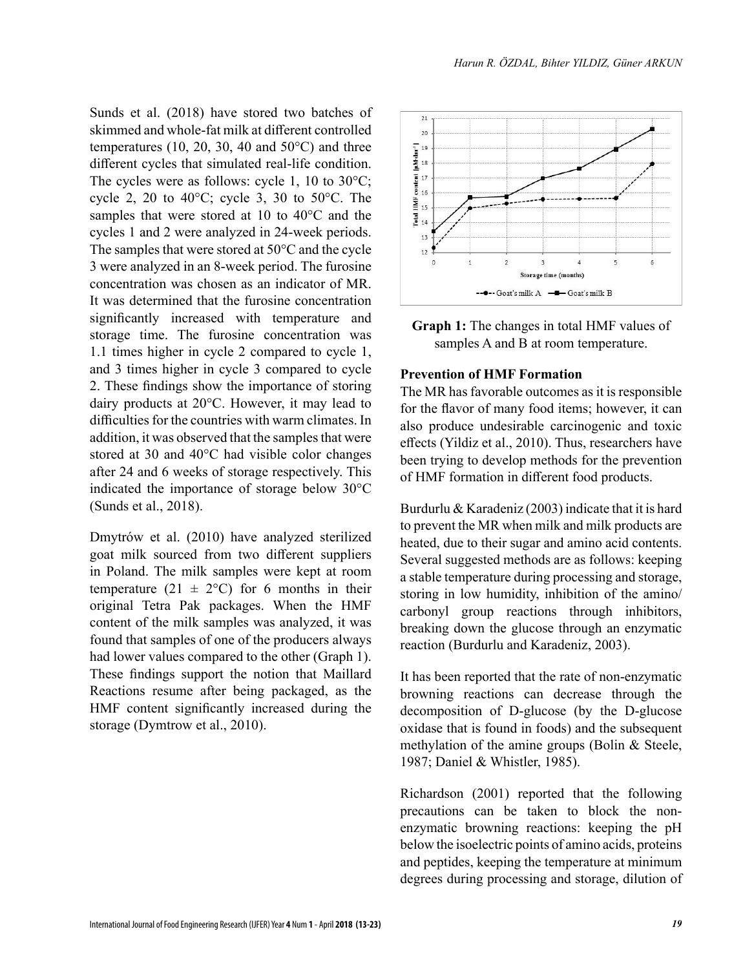Sunds et al. (2018) have stored two batches of skimmed and whole-fat milk at different controlled temperatures (10, 20, 30, 40 and  $50^{\circ}$ C) and three different cycles that simulated real-life condition. The cycles were as follows: cycle 1, 10 to 30°C; cycle 2, 20 to 40 $^{\circ}$ C; cycle 3, 30 to 50 $^{\circ}$ C. The samples that were stored at 10 to 40°C and the cycles 1 and 2 were analyzed in 24-week periods. The samples that were stored at 50°C and the cycle 3 were analyzed in an 8-week period. The furosine concentration was chosen as an indicator of MR. It was determined that the furosine concentration significantly increased with temperature and storage time. The furosine concentration was 1.1 times higher in cycle 2 compared to cycle 1, and 3 times higher in cycle 3 compared to cycle 2. These findings show the importance of storing dairy products at 20°C. However, it may lead to difficulties for the countries with warm climates. In addition, it was observed that the samples that were stored at 30 and 40°C had visible color changes after 24 and 6 weeks of storage respectively. This indicated the importance of storage below 30°C (Sunds et al., 2018).

Dmytrów et al. (2010) have analyzed sterilized goat milk sourced from two different suppliers in Poland. The milk samples were kept at room temperature (21  $\pm$  2°C) for 6 months in their original Tetra Pak packages. When the HMF content of the milk samples was analyzed, it was found that samples of one of the producers always had lower values compared to the other (Graph 1). These findings support the notion that Maillard Reactions resume after being packaged, as the HMF content significantly increased during the storage (Dymtrow et al., 2010).



**Graph 1:** The changes in total HMF values of samples A and B at room temperature.

#### **Prevention of HMF Formation**

The MR has favorable outcomes as it is responsible for the flavor of many food items; however, it can also produce undesirable carcinogenic and toxic effects (Yildiz et al., 2010). Thus, researchers have been trying to develop methods for the prevention of HMF formation in different food products.

Burdurlu & Karadeniz (2003) indicate that it is hard to prevent the MR when milk and milk products are heated, due to their sugar and amino acid contents. Several suggested methods are as follows: keeping a stable temperature during processing and storage, storing in low humidity, inhibition of the amino/ carbonyl group reactions through inhibitors, breaking down the glucose through an enzymatic reaction (Burdurlu and Karadeniz, 2003).

It has been reported that the rate of non-enzymatic browning reactions can decrease through the decomposition of D-glucose (by the D-glucose oxidase that is found in foods) and the subsequent methylation of the amine groups (Bolin & Steele, 1987; Daniel & Whistler, 1985).

Richardson (2001) reported that the following precautions can be taken to block the nonenzymatic browning reactions: keeping the pH below the isoelectric points of amino acids, proteins and peptides, keeping the temperature at minimum degrees during processing and storage, dilution of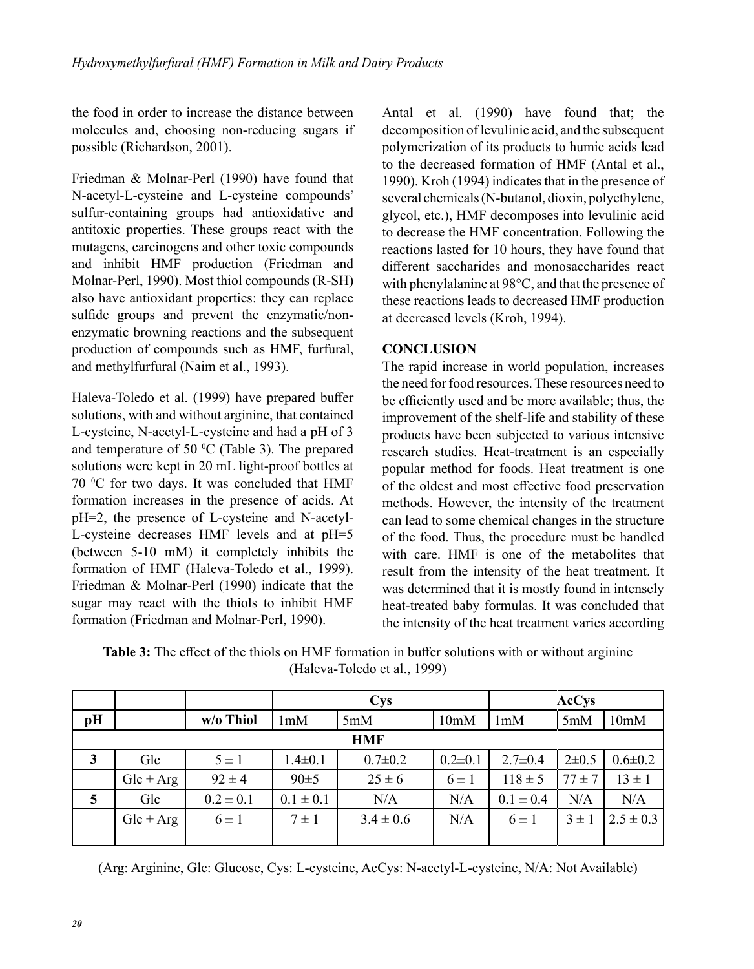the food in order to increase the distance between molecules and, choosing non-reducing sugars if possible (Richardson, 2001).

Friedman & Molnar-Perl (1990) have found that N-acetyl-L-cysteine and L-cysteine compounds' sulfur-containing groups had antioxidative and antitoxic properties. These groups react with the mutagens, carcinogens and other toxic compounds and inhibit HMF production (Friedman and Molnar-Perl, 1990). Most thiol compounds (R-SH) also have antioxidant properties: they can replace sulfide groups and prevent the enzymatic/nonenzymatic browning reactions and the subsequent production of compounds such as HMF, furfural, and methylfurfural (Naim et al., 1993).

Haleva-Toledo et al. (1999) have prepared buffer solutions, with and without arginine, that contained L-cysteine, N-acetyl-L-cysteine and had a pH of 3 and temperature of 50  $^{\circ}$ C (Table 3). The prepared solutions were kept in 20 mL light-proof bottles at 70 °C for two days. It was concluded that HMF formation increases in the presence of acids. At pH=2, the presence of L-cysteine and N-acetyl-L-cysteine decreases HMF levels and at pH=5 (between 5-10 mM) it completely inhibits the formation of HMF (Haleva-Toledo et al., 1999). Friedman & Molnar-Perl (1990) indicate that the sugar may react with the thiols to inhibit HMF formation (Friedman and Molnar-Perl, 1990).

Antal et al. (1990) have found that; the decomposition of levulinic acid, and the subsequent polymerization of its products to humic acids lead to the decreased formation of HMF (Antal et al., 1990). Kroh (1994) indicates that in the presence of several chemicals (N-butanol, dioxin, polyethylene, glycol, etc.), HMF decomposes into levulinic acid to decrease the HMF concentration. Following the reactions lasted for 10 hours, they have found that different saccharides and monosaccharides react with phenylalanine at 98°C, and that the presence of these reactions leads to decreased HMF production at decreased levels (Kroh, 1994).

# **CONCLUSION**

The rapid increase in world population, increases the need for food resources. These resources need to be efficiently used and be more available; thus, the improvement of the shelf-life and stability of these products have been subjected to various intensive research studies. Heat-treatment is an especially popular method for foods. Heat treatment is one of the oldest and most effective food preservation methods. However, the intensity of the treatment can lead to some chemical changes in the structure of the food. Thus, the procedure must be handled with care. HMF is one of the metabolites that result from the intensity of the heat treatment. It was determined that it is mostly found in intensely heat-treated baby formulas. It was concluded that the intensity of the heat treatment varies according

| <b>Table 3:</b> The effect of the thiols on HMF formation in buffer solutions with or without arginine |  |
|--------------------------------------------------------------------------------------------------------|--|
| (Haleva-Toledo et al., 1999)                                                                           |  |
|                                                                                                        |  |

|            |             |               | <b>Cys</b>    |               |               | <b>AcCys</b>  |             |               |
|------------|-------------|---------------|---------------|---------------|---------------|---------------|-------------|---------------|
| pH         |             | w/o Thiol     | 1mM           | 5mM           | 10mM          | 1mM           | 5mM         | 10mM          |
| <b>HMF</b> |             |               |               |               |               |               |             |               |
| 3          | Glc         | $5 \pm 1$     | $1.4 \pm 0.1$ | $0.7 \pm 0.2$ | $0.2 \pm 0.1$ | $2.7 \pm 0.4$ | $2 \pm 0.5$ | $0.6 \pm 0.2$ |
|            | $Glc + Arg$ | $92 \pm 4$    | 90±5          | $25 \pm 6$    | $6 \pm 1$     | $118 \pm 5$   | $77 \pm 7$  | $13 \pm 1$    |
| 5          | Glc         | $0.2 \pm 0.1$ | $0.1 \pm 0.1$ | N/A           | N/A           | $0.1 \pm 0.4$ | N/A         | N/A           |
|            | $Glc + Arg$ | $6 \pm 1$     | $7 \pm 1$     | $3.4 \pm 0.6$ | N/A           | $6 \pm 1$     | $3 \pm 1$   | $2.5 \pm 0.3$ |
|            |             |               |               |               |               |               |             |               |

(Arg: Arginine, Glc: Glucose, Cys: L-cysteine, AcCys: N-acetyl-L-cysteine, N/A: Not Available)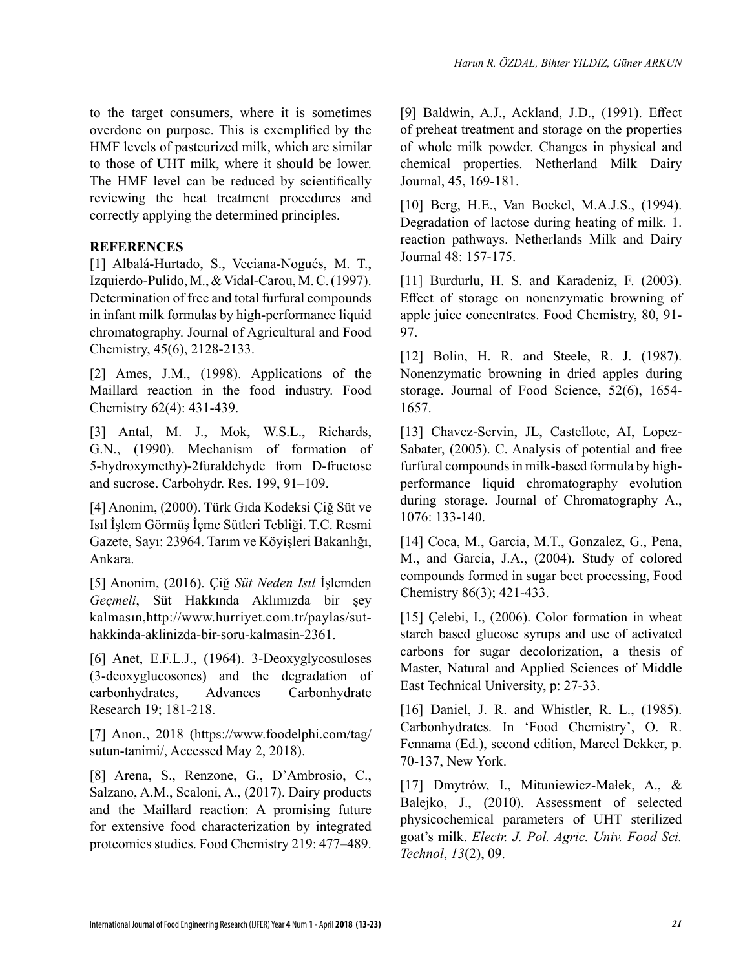to the target consumers, where it is sometimes overdone on purpose. This is exemplified by the HMF levels of pasteurized milk, which are similar to those of UHT milk, where it should be lower. The HMF level can be reduced by scientifically reviewing the heat treatment procedures and correctly applying the determined principles.

# **REFERENCES**

[1] Albalá-Hurtado, S., Veciana-Nogués, M. T., Izquierdo-Pulido, M., & Vidal-Carou, M. C. (1997). Determination of free and total furfural compounds in infant milk formulas by high-performance liquid chromatography. Journal of Agricultural and Food Chemistry, 45(6), 2128-2133.

[2] Ames, J.M., (1998). Applications of the Maillard reaction in the food industry. Food Chemistry 62(4): 431-439.

[3] Antal, M. J., Mok, W.S.L., Richards, G.N., (1990). Mechanism of formation of 5-hydroxymethy)-2furaldehyde from D-fructose and sucrose. Carbohydr. Res. 199, 91–109.

[4] Anonim, (2000). Türk Gıda Kodeksi Çiğ Süt ve Isıl İşlem Görmüş İçme Sütleri Tebliği. T.C. Resmi Gazete, Sayı: 23964. Tarım ve Köyişleri Bakanlığı, Ankara.

[5] Anonim, (2016). Çiğ *Süt Neden Isıl* İşlemden *Geçmeli*, Süt Hakkında Aklımızda bir şey kalmasın,http://www.hurriyet.com.tr/paylas/suthakkinda-aklinizda-bir-soru-kalmasin-2361.

[6] Anet, E.F.L.J., (1964). 3-Deoxyglycosuloses (3-deoxyglucosones) and the degradation of carbonhydrates, Advances Carbonhydrate Research 19; 181-218.

[7] Anon., 2018 (https://www.foodelphi.com/tag/ sutun-tanimi/, Accessed May 2, 2018).

[8] Arena, S., Renzone, G., D'Ambrosio, C., Salzano, A.M., Scaloni, A., (2017). Dairy products and the Maillard reaction: A promising future for extensive food characterization by integrated proteomics studies. Food Chemistry 219: 477–489.

[9] Baldwin, A.J., Ackland, J.D., (1991). Effect of preheat treatment and storage on the properties of whole milk powder. Changes in physical and chemical properties. Netherland Milk Dairy Journal, 45, 169-181.

[10] Berg, H.E., Van Boekel, M.A.J.S., (1994). Degradation of lactose during heating of milk. 1. reaction pathways. Netherlands Milk and Dairy Journal 48: 157-175.

[11] Burdurlu, H. S. and Karadeniz, F. (2003). Effect of storage on nonenzymatic browning of apple juice concentrates. Food Chemistry, 80, 91- 97.

[12] Bolin, H. R. and Steele, R. J. (1987). Nonenzymatic browning in dried apples during storage. Journal of Food Science, 52(6), 1654- 1657.

[13] Chavez-Servin, JL, Castellote, AI, Lopez-Sabater, (2005). C. Analysis of potential and free furfural compounds in milk-based formula by highperformance liquid chromatography evolution during storage. Journal of Chromatography A., 1076: 133-140.

[14] Coca, M., Garcia, M.T., Gonzalez, G., Pena, M., and Garcia, J.A., (2004). Study of colored compounds formed in sugar beet processing, Food Chemistry 86(3); 421-433.

[15] Celebi, I., (2006). Color formation in wheat starch based glucose syrups and use of activated carbons for sugar decolorization, a thesis of Master, Natural and Applied Sciences of Middle East Technical University, p: 27-33.

[16] Daniel, J. R. and Whistler, R. L., (1985). Carbonhydrates. In 'Food Chemistry', O. R. Fennama (Ed.), second edition, Marcel Dekker, p. 70-137, New York.

[17] Dmytrów, I., Mituniewicz-Małek, A., & Balejko, J., (2010). Assessment of selected physicochemical parameters of UHT sterilized goat's milk. *Electr. J. Pol. Agric. Univ. Food Sci. Technol*, *13*(2), 09.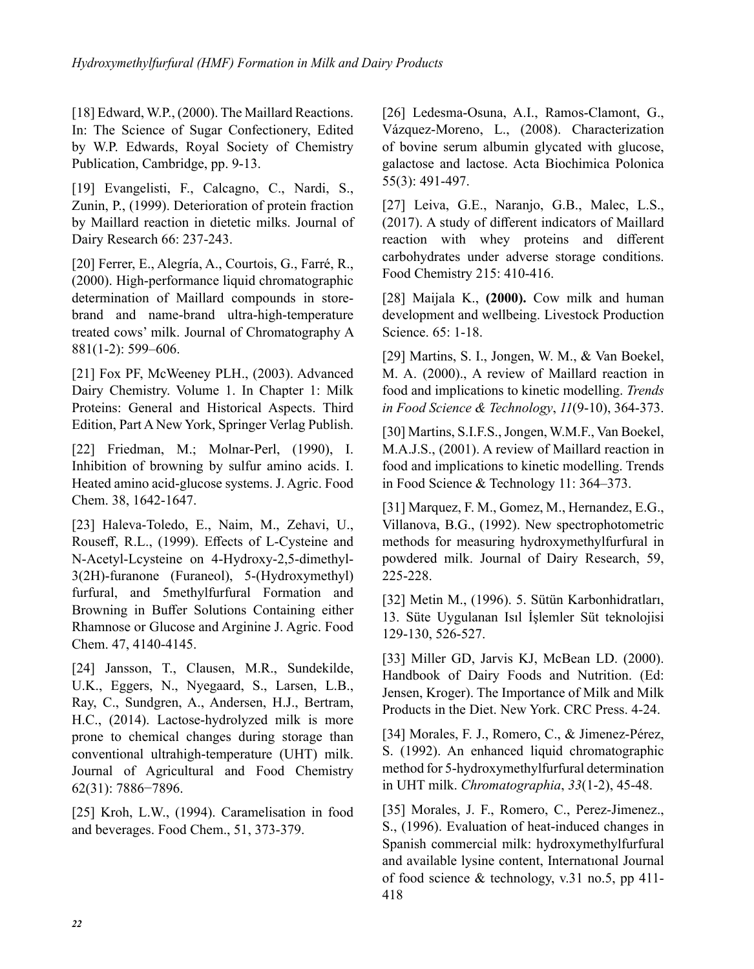[18] Edward, W.P., (2000). The Maillard Reactions. In: The Science of Sugar Confectionery, Edited by W.P. Edwards, Royal Society of Chemistry Publication, Cambridge, pp. 9-13.

[19] Evangelisti, F., Calcagno, C., Nardi, S., Zunin, P., (1999). Deterioration of protein fraction by Maillard reaction in dietetic milks. Journal of Dairy Research 66: 237-243.

[20] Ferrer, E., Alegría, A., Courtois, G., Farré, R., (2000). High-performance liquid chromatographic determination of Maillard compounds in storebrand and name-brand ultra-high-temperature treated cows' milk. Journal of Chromatography A 881(1-2): 599–606.

[21] Fox PF, McWeeney PLH., (2003). Advanced Dairy Chemistry. Volume 1. In Chapter 1: Milk Proteins: General and Historical Aspects. Third Edition, Part A New York, Springer Verlag Publish.

[22] Friedman, M.; Molnar-Perl, (1990), I. Inhibition of browning by sulfur amino acids. I. Heated amino acid-glucose systems. J. Agric. Food Chem. 38, 1642-1647.

[23] Haleva-Toledo, E., Naim, M., Zehavi, U., Rouseff, R.L., (1999). Effects of L-Cysteine and N-Acetyl-Lcysteine on 4-Hydroxy-2,5-dimethyl-3(2H)-furanone (Furaneol), 5-(Hydroxymethyl) furfural, and 5methylfurfural Formation and Browning in Buffer Solutions Containing either Rhamnose or Glucose and Arginine J. Agric. Food Chem. 47, 4140-4145.

[24] Jansson, T., Clausen, M.R., Sundekilde, U.K., Eggers, N., Nyegaard, S., Larsen, L.B., Ray, C., Sundgren, A., Andersen, H.J., Bertram, H.C., (2014). Lactose-hydrolyzed milk is more prone to chemical changes during storage than conventional ultrahigh-temperature (UHT) milk. Journal of Agricultural and Food Chemistry 62(31): 7886−7896.

[25] Kroh, L.W., (1994). Caramelisation in food and beverages. Food Chem., 51, 373-379.

[26] Ledesma-Osuna, A.I., Ramos-Clamont, G., Vázquez-Moreno, L., (2008). Characterization of bovine serum albumin glycated with glucose, galactose and lactose. Acta Biochimica Polonica 55(3): 491-497.

[27] Leiva, G.E., Naranjo, G.B., Malec, L.S., (2017). A study of different indicators of Maillard reaction with whey proteins and different carbohydrates under adverse storage conditions. Food Chemistry 215: 410-416.

[28] Maijala K., **(2000).** Cow milk and human development and wellbeing. Livestock Production Science. 65: 1-18.

[29] Martins, S. I., Jongen, W. M., & Van Boekel, M. A. (2000)., A review of Maillard reaction in food and implications to kinetic modelling. *Trends in Food Science & Technology*, *11*(9-10), 364-373.

[30] Martins, S.I.F.S., Jongen, W.M.F., Van Boekel, M.A.J.S., (2001). A review of Maillard reaction in food and implications to kinetic modelling. Trends in Food Science & Technology 11: 364–373.

[31] Marquez, F. M., Gomez, M., Hernandez, E.G., Villanova, B.G., (1992). New spectrophotometric methods for measuring hydroxymethylfurfural in powdered milk. Journal of Dairy Research, 59, 225-228.

[32] Metin M., (1996). 5. Sütün Karbonhidratları, 13. Süte Uygulanan Isıl İşlemler Süt teknolojisi 129-130, 526-527.

[33] Miller GD, Jarvis KJ, McBean LD. (2000). Handbook of Dairy Foods and Nutrition. (Ed: Jensen, Kroger). The Importance of Milk and Milk Products in the Diet. New York. CRC Press. 4-24.

[34] Morales, F. J., Romero, C., & Jimenez-Pérez, S. (1992). An enhanced liquid chromatographic method for 5-hydroxymethylfurfural determination in UHT milk. *Chromatographia*, *33*(1-2), 45-48.

[35] Morales, J. F., Romero, C., Perez-Jimenez., S., (1996). Evaluation of heat-induced changes in Spanish commercial milk: hydroxymethylfurfural and available lysine content, Internatıonal Journal of food science & technology, v.31 no.5, pp 411- 418